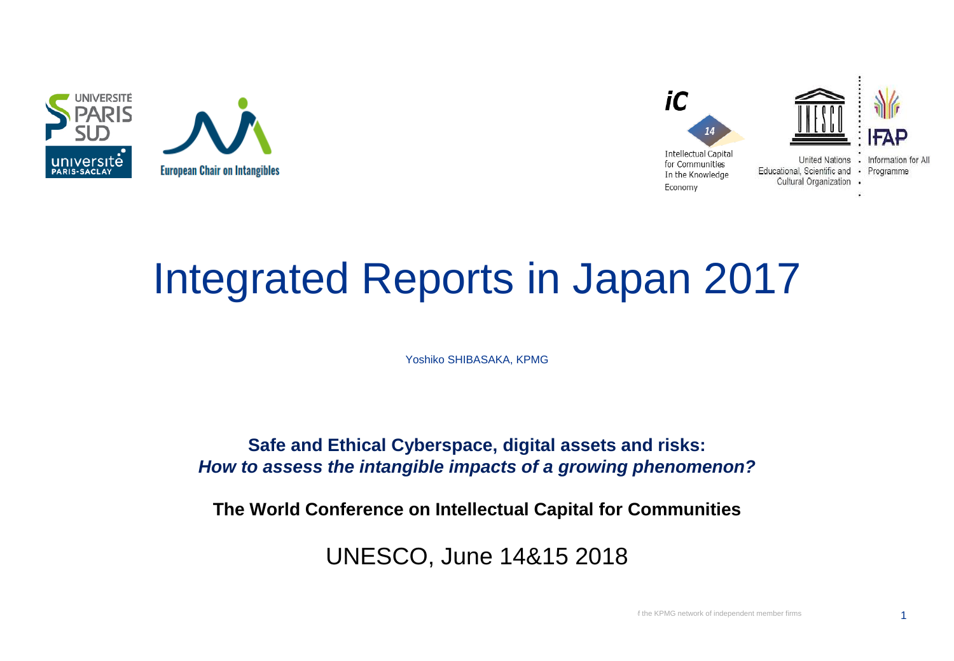



### Integrated Reports in Japan 2017

Yoshiko SHIBASAKA, KPMG

**Safe and Ethical Cyberspace, digital assets and risks:**  *How to assess the intangible impacts of a growing phenomenon?*

**The World Conference on Intellectual Capital for Communities**

UNESCO, June 14&15 2018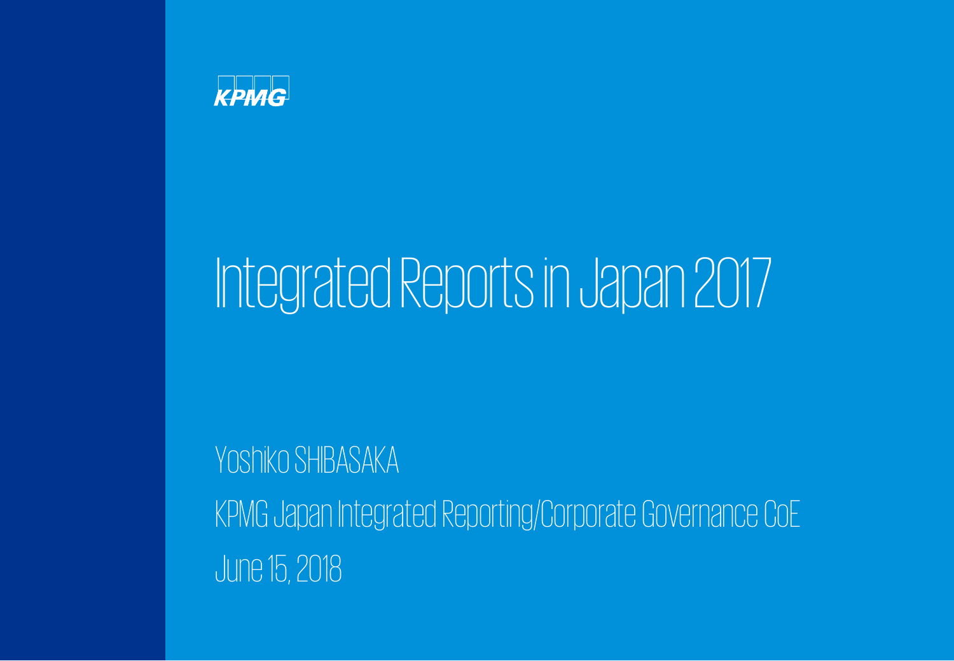

# Integrated Reports in Japan 2017

### Yoshiko SHIBASAKA

KPMG Japan Integrated Reporting/Corporate Governance CoE June 15, 2018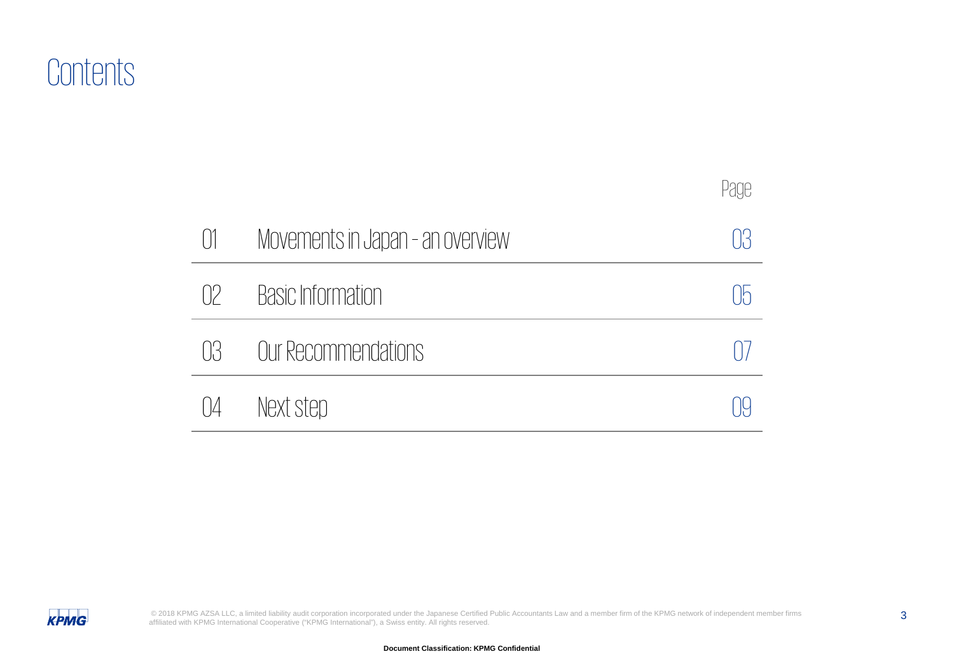### **Contents**

|                 |                                  | Page |
|-----------------|----------------------------------|------|
| $\lceil \rceil$ | Movements in Japan - an overview |      |
| $\Box$          | <b>Basic Information</b>         |      |
| N               | Our Recommendations              |      |
| IИ              | Next step                        |      |

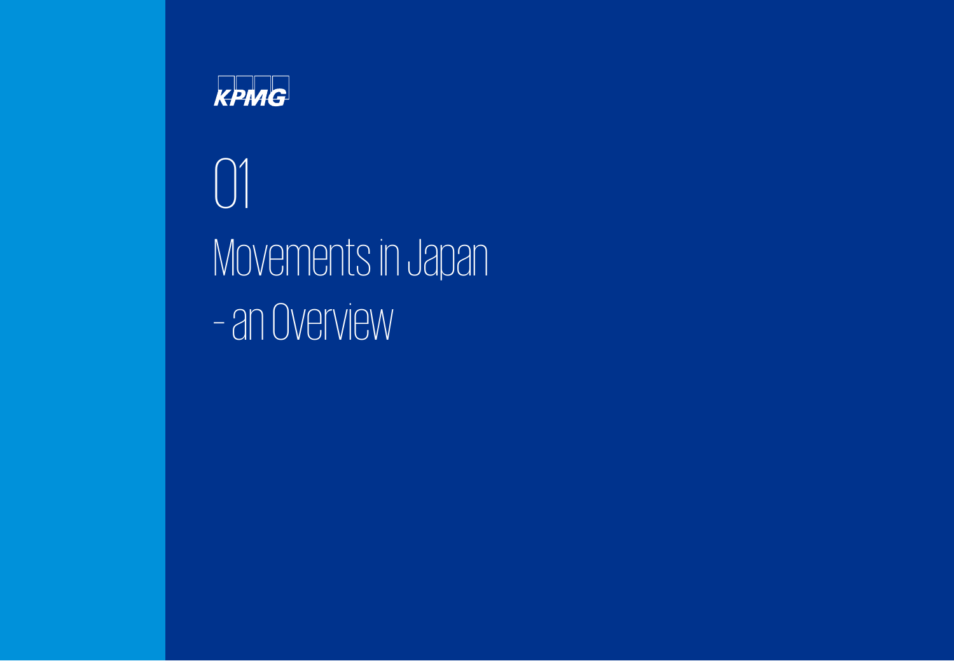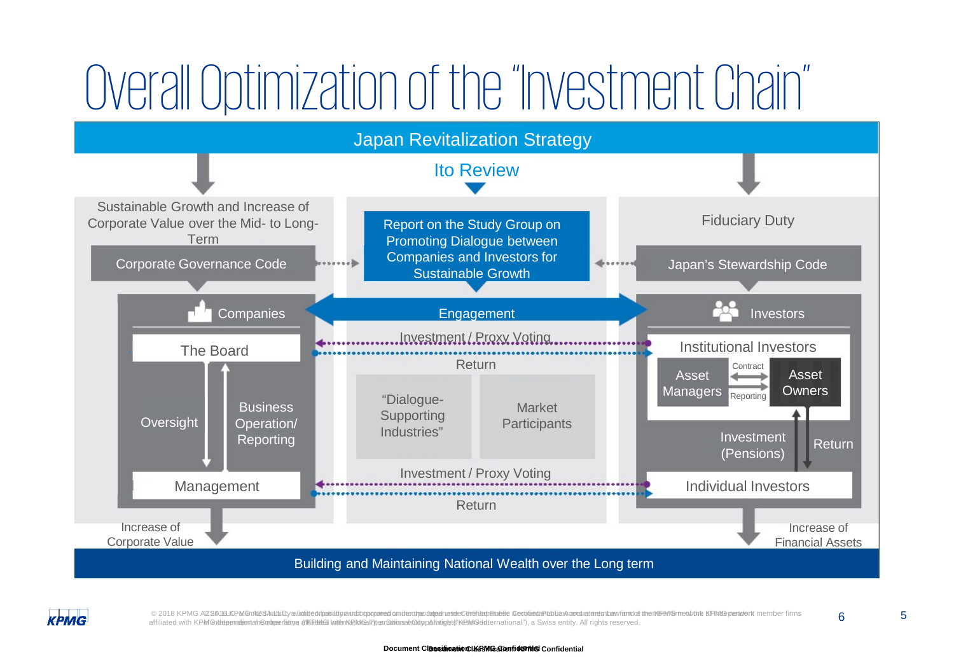## Overall Optimization of the "Investment Chain"





© 2018 KPMG AZSA16LISPM@nAZ8AiabilityauinitedniaabitityauntibopopataniamideodheodheeseeCtrititapRnebie SecifiliahRnebie decitiiliankanoulatamenbawfamdda therKBMGrmet/vithe KRMGpanderk member firms **6**<br>affiliated with KPMGh affiliated with KPMGh**utepenatientah©odgeerätine #ffKRM&il lniterKaRMGall")teanSatiossaeQitgpAllatight#KBMGeldternational"), a Swiss entity. All rights reserved.**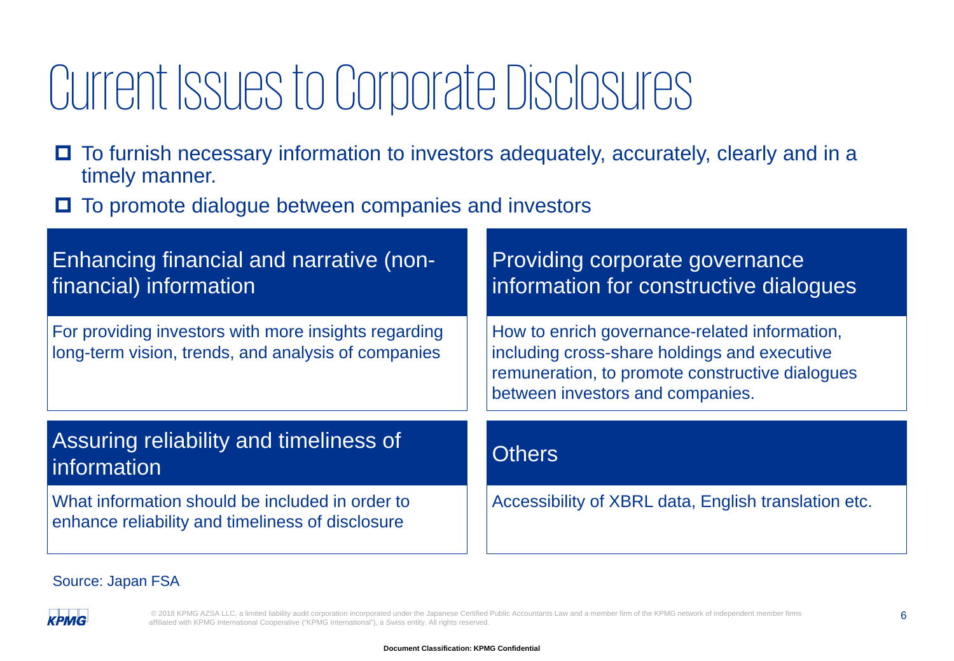## Current Issues to Corporate Disclosures

- □ To furnish necessary information to investors adequately, accurately, clearly and in a timely manner.
- **□** To promote dialogue between companies and investors

| <b>Enhancing financial and narrative (non-</b><br>financial) information                                    | Providing corporate governance<br>information for constructive dialogues                                                                                                             |  |
|-------------------------------------------------------------------------------------------------------------|--------------------------------------------------------------------------------------------------------------------------------------------------------------------------------------|--|
| For providing investors with more insights regarding<br>long-term vision, trends, and analysis of companies | How to enrich governance-related information,<br>including cross-share holdings and executive<br>remuneration, to promote constructive dialogues<br>between investors and companies. |  |
| Assuring reliability and timeliness of<br>information                                                       | <b>Others</b>                                                                                                                                                                        |  |
| What information should be included in order to<br>enhance reliability and timeliness of disclosure         | Accessibility of XBRL data, English translation etc.                                                                                                                                 |  |

#### Source: Japan FSA

**KPMG** 

© 2018 KPMG AZSA LLC, a limited liability audit corporation incorporated under the Japanese Certified Public Accountants Law and a member firm of the KPMG network of independent member firms 6 affiliated with KPMG International Cooperative ("KPMG International"), a Swiss entity. All rights reserved.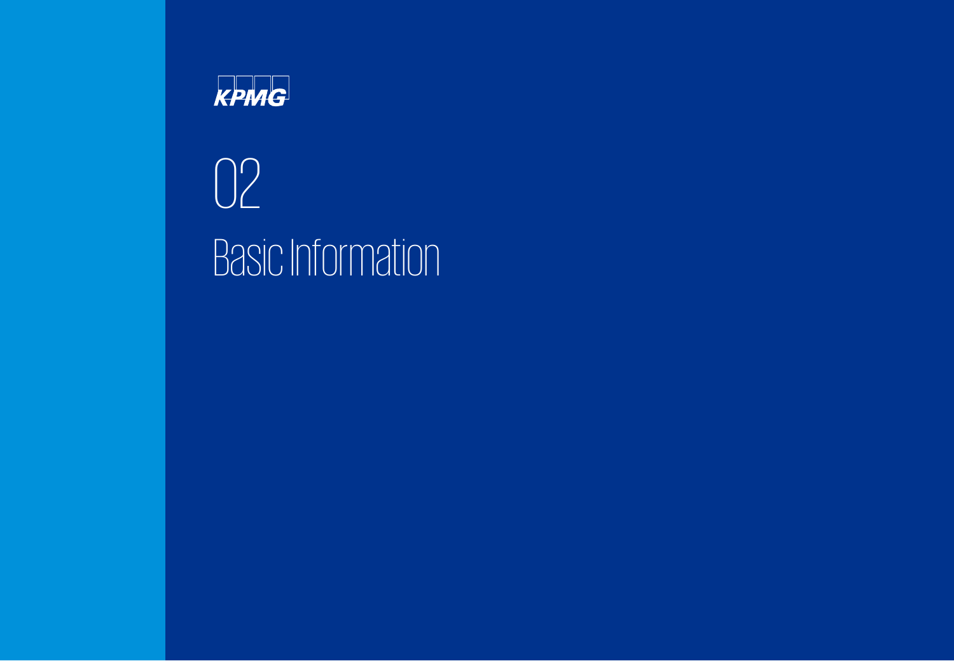

02 Basic Information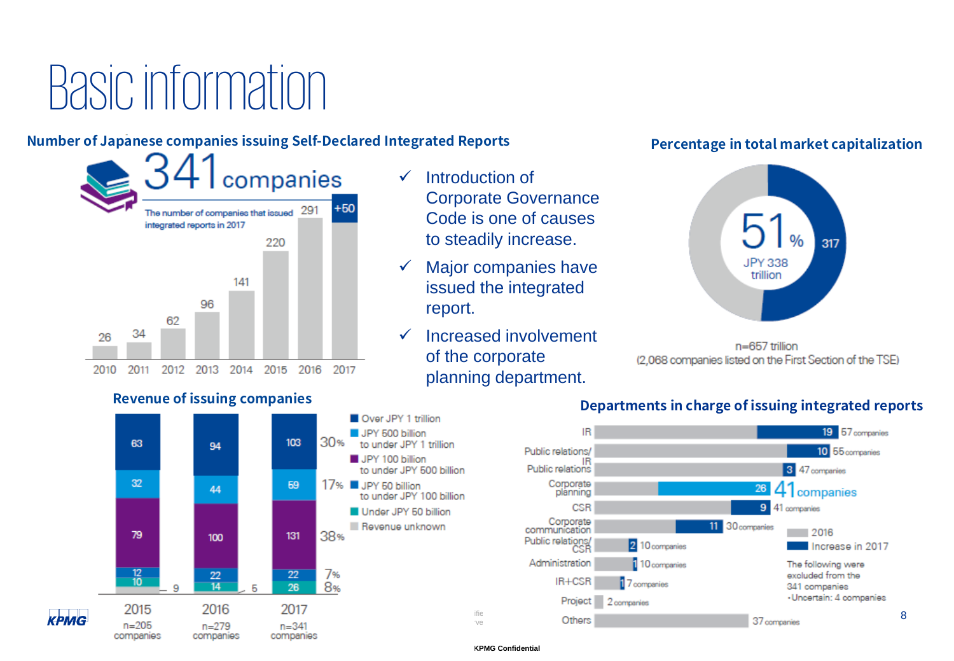## Basic information

#### **Number of Japanese companies issuing Self-Declared Integrated Reports**



#### **Revenue of issuing companies**

**KPMG** 



- $\checkmark$  Major companies have issued the integrated report.
- $\checkmark$  Increased involvement of the corporate planning department.

#### **Percentage in total market capitalization**



 $n=657$  trillion (2,068 companies listed on the First Section of the TSE)



#### **Departments in charge of issuing integrated reports**

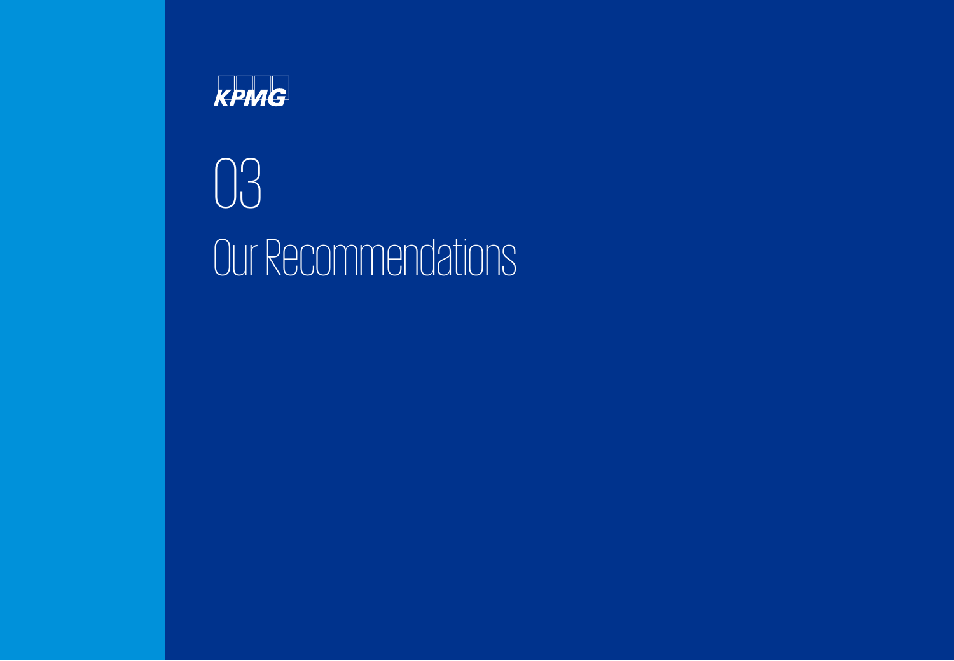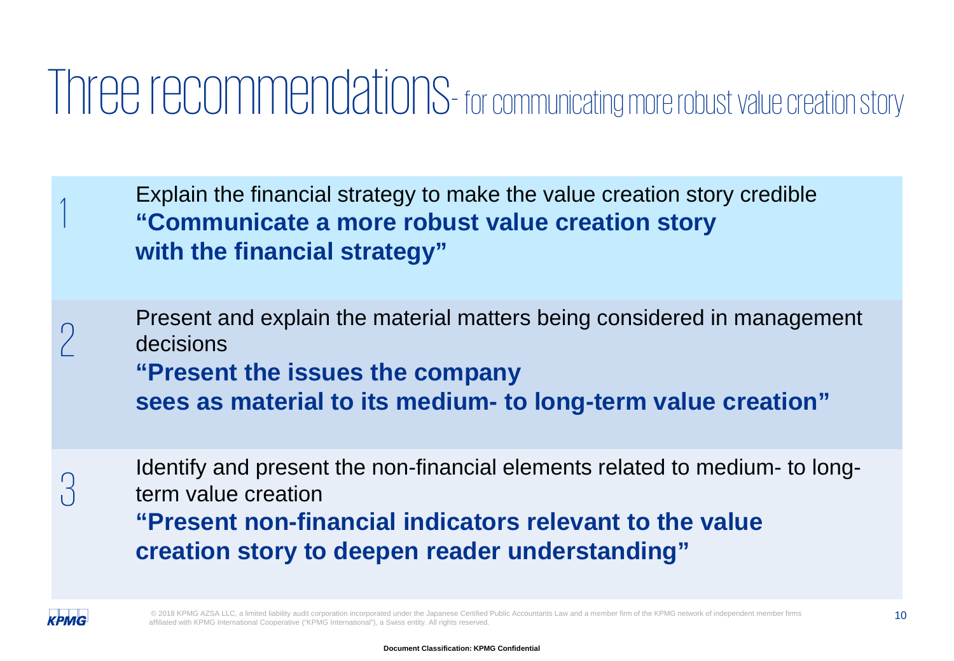### Three recommendations- for communicating more robust value creation story

Explain the financial strategy to make the value creation story credible **"Communicate a more robust value creation story with the financial strategy"**

Present and explain the material matters being considered in management decisions decisions **"Present the issues the company sees as material to its medium- to long-term value creation"**

 $\alpha_{\rm cl}$  Identify and present the non-financial elements related to medium- to long-<br> $\beta$  term value creation term value creation

**"Present non-financial indicators relevant to the value creation story to deepen reader understanding"**



© 2018 KPMG AZSA LLC, a limited liability audit corporation incorporated under the Japanese Certified Public Accountants Law and a member firm of the KPMG network of independent member firms (10 affiliated with KPMG International Cooperative ("KPMG International"), a Swiss entity. All rights reserved.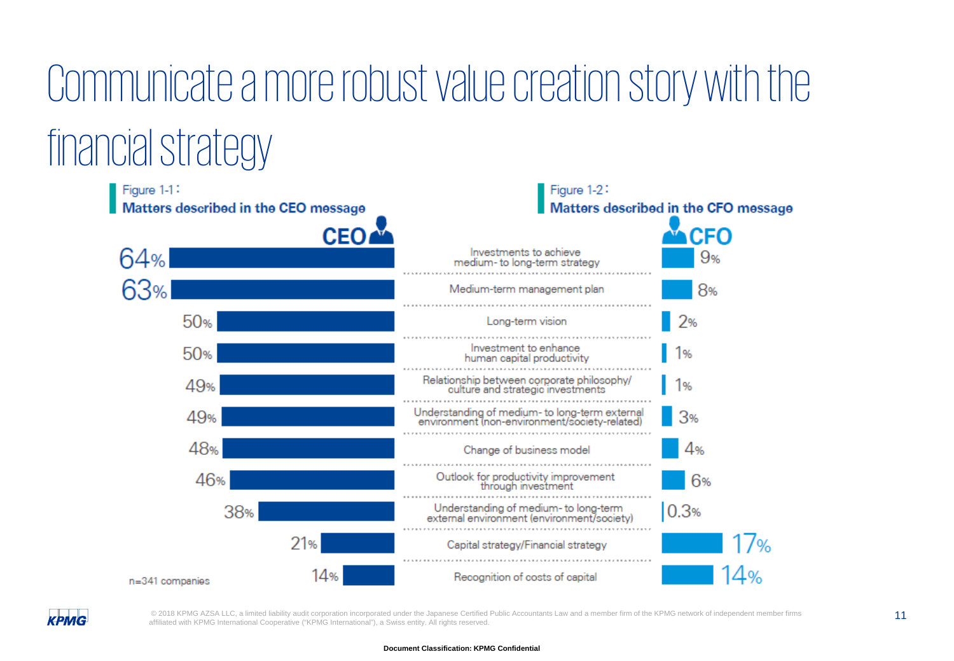# Communicate a more robust value creation story with the

### financial strategy



**КРМG** 

© 2018 KPMG AZSA LLC, a limited liability audit corporation incorporated under the Japanese Certified Public Accountants Law and a member firm of the KPMG network of independent member firms 11 affiliated with KPMG International Cooperative ("KPMG International"), a Swiss entity. All rights reserved.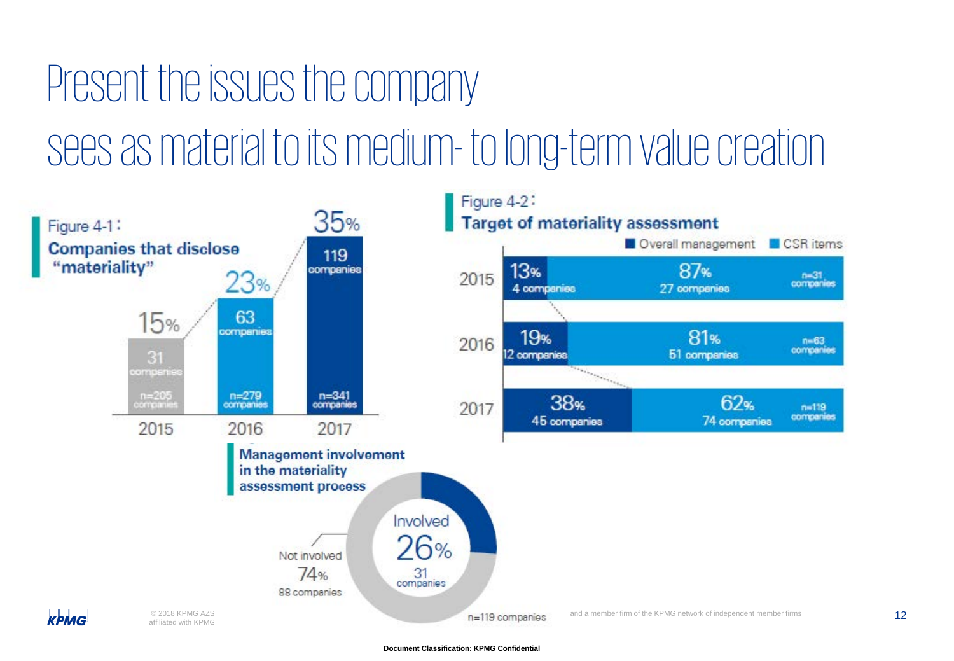### Present the issues the company sees as material to its medium- to long-term value creation

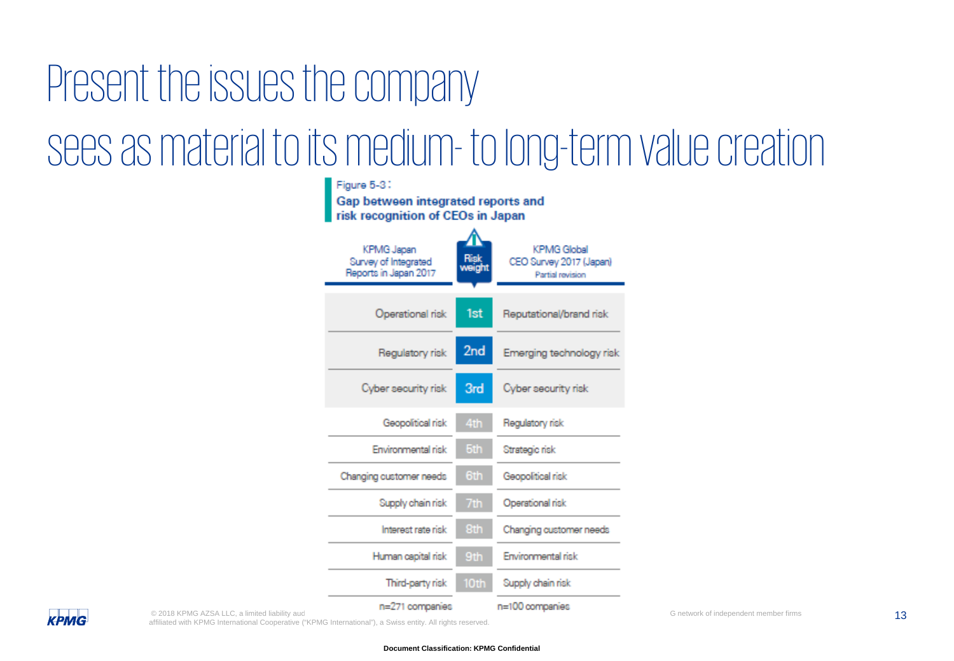## Present the issues the company sees as material to its medium- to long-term value creation

| Figure 5-3;<br>Gap between integrated reports and<br>risk recognition of CEOs in Japan |                 |                                                                   |  |  |
|----------------------------------------------------------------------------------------|-----------------|-------------------------------------------------------------------|--|--|
| KPMG Japan<br>Survey of Integrated<br>Reports in Japan 2017                            | Risk<br>weight  | <b>KPMG Global</b><br>CEO Survey 2017 (Japan)<br>Partial revision |  |  |
| Operational risk                                                                       | 1st             | Reputational/brand risk                                           |  |  |
| Regulatory risk                                                                        | 2 <sub>nd</sub> | Emerging technology risk                                          |  |  |
| Cyber security risk                                                                    | 3rd             | Cyber security risk                                               |  |  |
| Geopolitical risk                                                                      | 4th             | Regulatory risk                                                   |  |  |
| Environmental risk                                                                     | 5th             | Strategic risk                                                    |  |  |
| Changing customer needs                                                                | 6th             | Geopolitical risk                                                 |  |  |
| Supply chain risk                                                                      | 7th             | Operational risk                                                  |  |  |
| Interest rate risk                                                                     | 8th             | Changing customer needs                                           |  |  |
| Human capital risk                                                                     | 9th             | Environmental risk                                                |  |  |
| Third-party risk                                                                       | 10th            | Supply chain risk                                                 |  |  |
| n=271 companies                                                                        |                 | n=100 companies                                                   |  |  |

© 2018 KPMG AZSA LLC, a limited liability aud<br>affiliated with KPMG International Cooperative ("KPMG International"), a Swiss entity. All rights reserved.

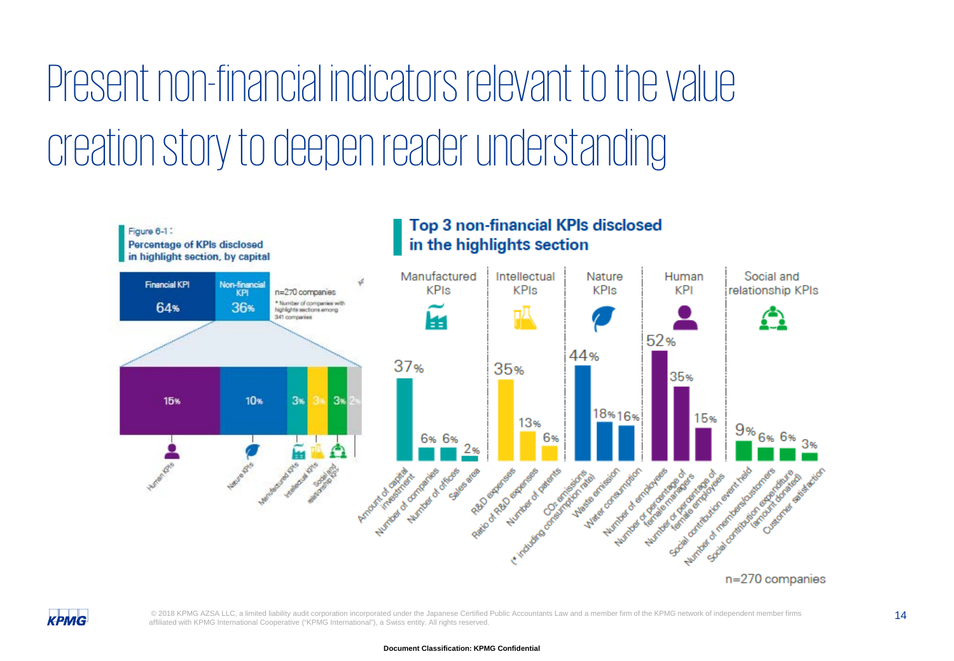Present non-financial indicators relevant to the value creation story to deepen reader understanding





© 2018 KPMG AZSA LLC, a limited liability audit corporation incorporated under the Japanese Certified Public Accountants Law and a member firm of the KPMG network of independent member firms 14 affiliated with KPMG International Cooperative ("KPMG International"), a Swiss entity. All rights reserved.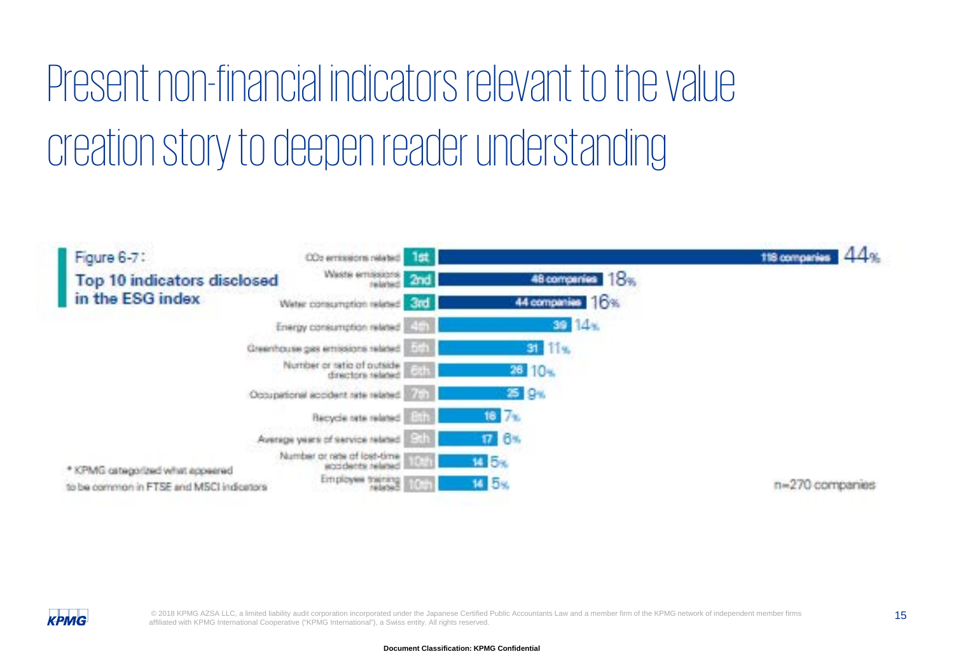### Present non-financial indicators relevant to the value creation story to deepen reader understanding





© 2018 KPMG AZSA LLC, a limited liability audit corporation incorporated under the Japanese Certified Public Accountants Law and a member firm of the KPMG network of independent member firms 15 affiliated with KPMG International Cooperative ("KPMG International"), a Swiss entity. All rights reserved.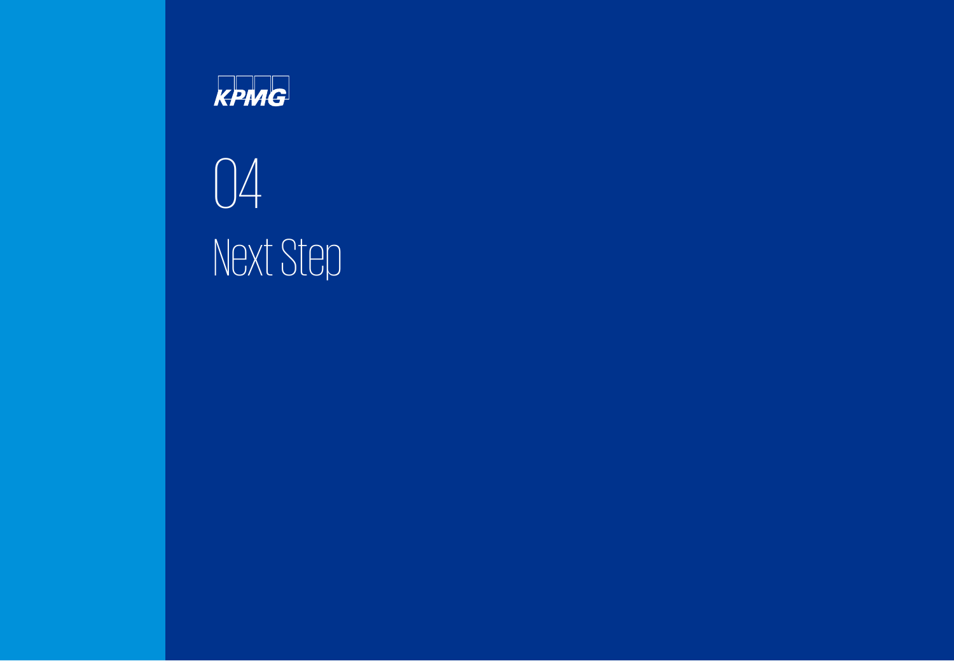

04 Next Step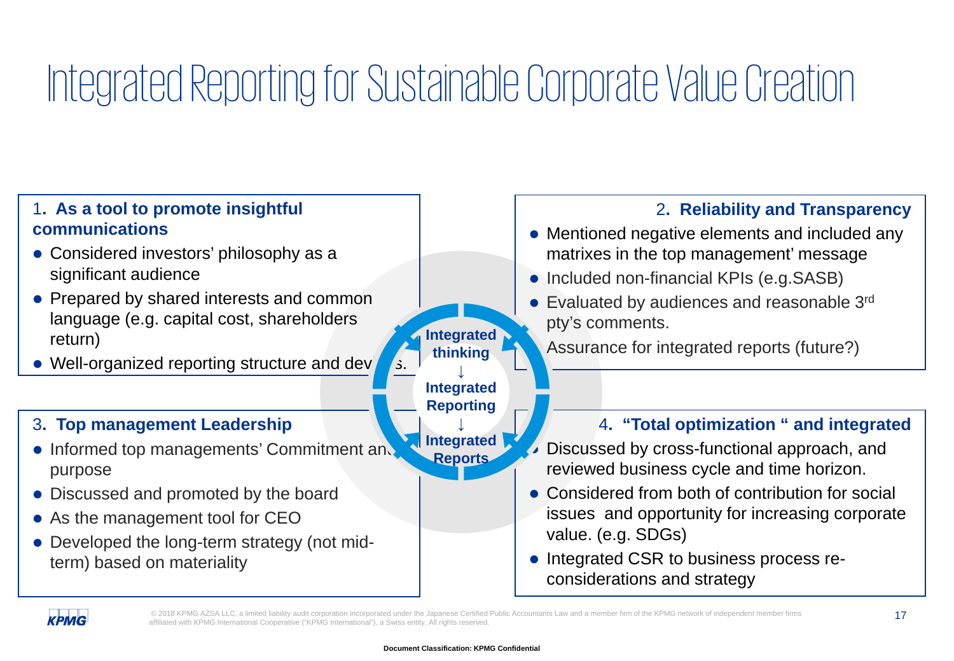### Integrated Reporting for Sustainable Corporate Value Creation

#### 4**. "Total optimization " and integrated**  Discussed by cross-functional approach, and reviewed business cycle and time horizon. • Considered from both of contribution for social issues and opportunity for increasing corporate value. (e.g. SDGs) • Integrated CSR to business process reconsiderations and strategy 3**. Top management Leadership** • Informed top managements' Commitment and purpose • Discussed and promoted by the board • As the management tool for CEO • Developed the long-term strategy (not midterm) based on materiality 2**. Reliability and Transparency** • Mentioned negative elements and included any matrixes in the top management' message • Included non-financial KPIs (e.g.SASB) • Evaluated by audiences and reasonable 3rd pty's comments. Assurance for integrated reports (future?) 1**. As a tool to promote insightful communications** • Considered investors' philosophy as a significant audience • Prepared by shared interests and common language (e.g. capital cost, shareholders return) Well-organized reporting structure and dev **Integrated thinking ↓ Integrated Reporting ↓ Integrated Reports**



© 2018 KPMG AZSA LLC, a limited liability audit corporation incorporated under the Japanese Certified Public Accountants Law and a member firm of the KPMG network of independent member firms 17 affiliated with KPMG International Cooperative ("KPMG International"), a Swiss entity. All rights reserved.